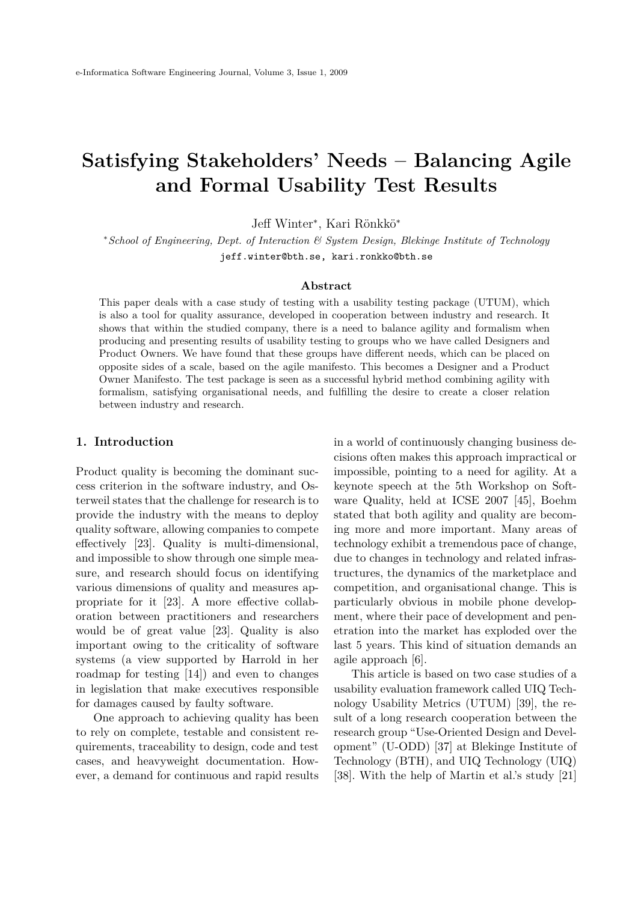# **Satisfying Stakeholders' Needs – Balancing Agile and Formal Usability Test Results**

Jeff Winter*∗*, Kari Rönkkö*<sup>∗</sup>*

*∗School of Engineering, Dept. of Interaction & System Design, Blekinge Institute of Technology* jeff.winter@bth.se, kari.ronkko@bth.se

#### **Abstract**

This paper deals with a case study of testing with a usability testing package (UTUM), which is also a tool for quality assurance, developed in cooperation between industry and research. It shows that within the studied company, there is a need to balance agility and formalism when producing and presenting results of usability testing to groups who we have called Designers and Product Owners. We have found that these groups have different needs, which can be placed on opposite sides of a scale, based on the agile manifesto. This becomes a Designer and a Product Owner Manifesto. The test package is seen as a successful hybrid method combining agility with formalism, satisfying organisational needs, and fulfilling the desire to create a closer relation between industry and research.

#### **1. Introduction**

Product quality is becoming the dominant success criterion in the software industry, and Osterweil states that the challenge for research is to provide the industry with the means to deploy quality software, allowing companies to compete effectively [23]. Quality is multi-dimensional, and impossible to show through one simple measure, and research should focus on identifying various dimensions of quality and measures appropriate for it [23]. A more effective collaboration between practitioners and researchers would be of great value [23]. Quality is also important owing to the criticality of software systems (a view supported by Harrold in her roadmap for testing [14]) and even to changes in legislation that make executives responsible for damages caused by faulty software.

One approach to achieving quality has been to rely on complete, testable and consistent requirements, traceability to design, code and test cases, and heavyweight documentation. However, a demand for continuous and rapid results in a world of continuously changing business decisions often makes this approach impractical or impossible, pointing to a need for agility. At a keynote speech at the 5th Workshop on Software Quality, held at ICSE 2007 [45], Boehm stated that both agility and quality are becoming more and more important. Many areas of technology exhibit a tremendous pace of change, due to changes in technology and related infrastructures, the dynamics of the marketplace and competition, and organisational change. This is particularly obvious in mobile phone development, where their pace of development and penetration into the market has exploded over the last 5 years. This kind of situation demands an agile approach [6].

This article is based on two case studies of a usability evaluation framework called UIQ Technology Usability Metrics (UTUM) [39], the result of a long research cooperation between the research group "Use-Oriented Design and Development" (U-ODD) [37] at Blekinge Institute of Technology (BTH), and UIQ Technology (UIQ) [38]. With the help of Martin et al.'s study [21]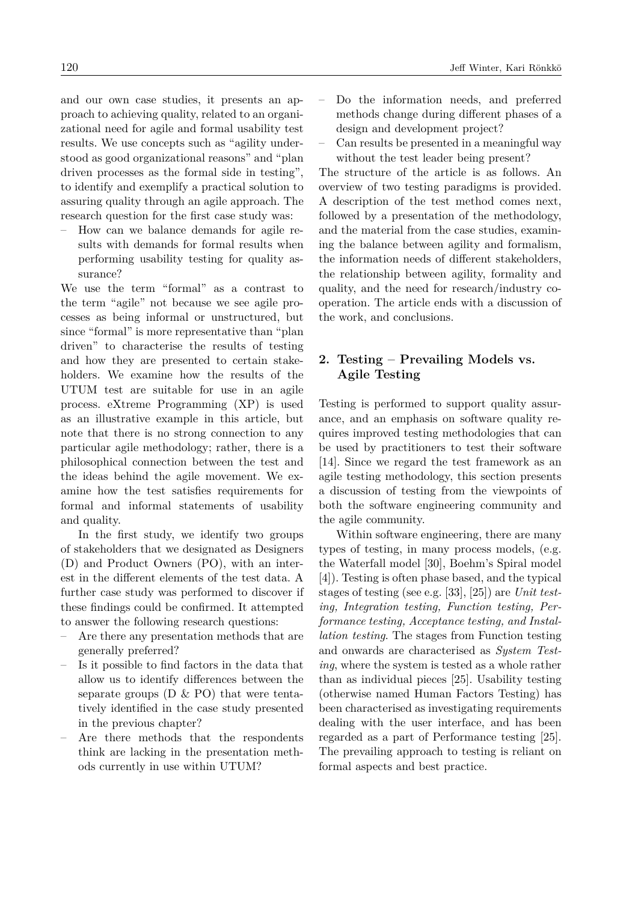and our own case studies, it presents an approach to achieving quality, related to an organizational need for agile and formal usability test results. We use concepts such as "agility understood as good organizational reasons" and "plan driven processes as the formal side in testing", to identify and exemplify a practical solution to assuring quality through an agile approach. The research question for the first case study was:

– How can we balance demands for agile results with demands for formal results when performing usability testing for quality assurance?

We use the term "formal" as a contrast to the term "agile" not because we see agile processes as being informal or unstructured, but since "formal" is more representative than "plan driven" to characterise the results of testing and how they are presented to certain stakeholders. We examine how the results of the UTUM test are suitable for use in an agile process. eXtreme Programming (XP) is used as an illustrative example in this article, but note that there is no strong connection to any particular agile methodology; rather, there is a philosophical connection between the test and the ideas behind the agile movement. We examine how the test satisfies requirements for formal and informal statements of usability and quality.

In the first study, we identify two groups of stakeholders that we designated as Designers (D) and Product Owners (PO), with an interest in the different elements of the test data. A further case study was performed to discover if these findings could be confirmed. It attempted to answer the following research questions:

- Are there any presentation methods that are generally preferred?
- Is it possible to find factors in the data that allow us to identify differences between the separate groups  $(D \& PO)$  that were tentatively identified in the case study presented in the previous chapter?
- Are there methods that the respondents think are lacking in the presentation methods currently in use within UTUM?
- Do the information needs, and preferred methods change during different phases of a design and development project?
- Can results be presented in a meaningful way without the test leader being present?

The structure of the article is as follows. An overview of two testing paradigms is provided. A description of the test method comes next, followed by a presentation of the methodology, and the material from the case studies, examining the balance between agility and formalism, the information needs of different stakeholders, the relationship between agility, formality and quality, and the need for research/industry cooperation. The article ends with a discussion of the work, and conclusions.

# **2. Testing – Prevailing Models vs. Agile Testing**

Testing is performed to support quality assurance, and an emphasis on software quality requires improved testing methodologies that can be used by practitioners to test their software [14]. Since we regard the test framework as an agile testing methodology, this section presents a discussion of testing from the viewpoints of both the software engineering community and the agile community.

Within software engineering, there are many types of testing, in many process models, (e.g. the Waterfall model [30], Boehm's Spiral model [4]). Testing is often phase based, and the typical stages of testing (see e.g. [33], [25]) are *Unit testing, Integration testing, Function testing, Performance testing, Acceptance testing, and Installation testing*. The stages from Function testing and onwards are characterised as *System Testing*, where the system is tested as a whole rather than as individual pieces [25]. Usability testing (otherwise named Human Factors Testing) has been characterised as investigating requirements dealing with the user interface, and has been regarded as a part of Performance testing [25]. The prevailing approach to testing is reliant on formal aspects and best practice.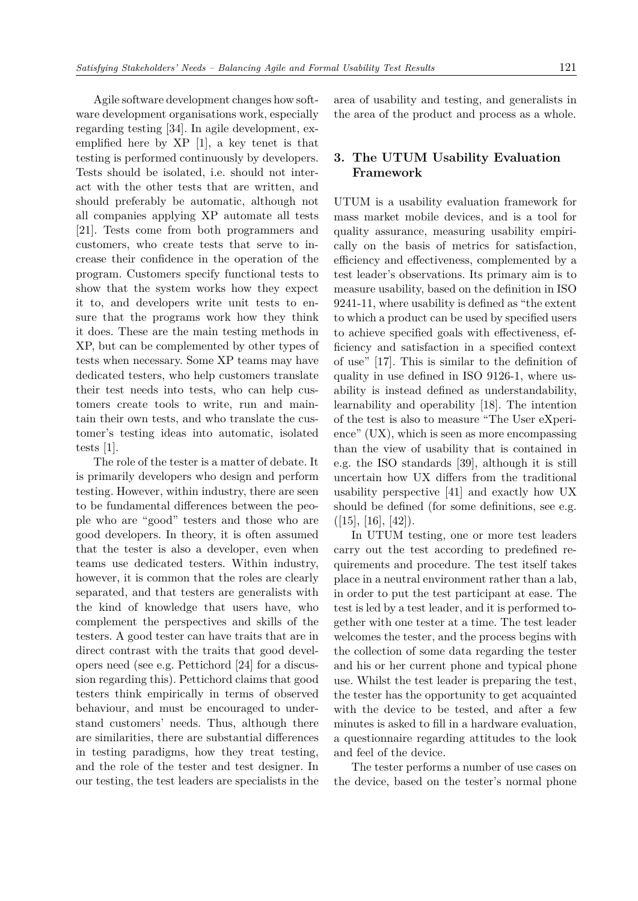Agile software development changes how software development organisations work, especially regarding testing [34]. In agile development, exemplified here by XP [1], a key tenet is that testing is performed continuously by developers. Tests should be isolated, i.e. should not interact with the other tests that are written, and should preferably be automatic, although not all companies applying XP automate all tests [21]. Tests come from both programmers and customers, who create tests that serve to increase their confidence in the operation of the program. Customers specify functional tests to show that the system works how they expect it to, and developers write unit tests to ensure that the programs work how they think it does. These are the main testing methods in XP, but can be complemented by other types of tests when necessary. Some XP teams may have dedicated testers, who help customers translate their test needs into tests, who can help customers create tools to write, run and maintain their own tests, and who translate the customer's testing ideas into automatic, isolated tests [1].

The role of the tester is a matter of debate. It is primarily developers who design and perform testing. However, within industry, there are seen to be fundamental differences between the people who are "good" testers and those who are good developers. In theory, it is often assumed that the tester is also a developer, even when teams use dedicated testers. Within industry, however, it is common that the roles are clearly separated, and that testers are generalists with the kind of knowledge that users have, who complement the perspectives and skills of the testers. A good tester can have traits that are in direct contrast with the traits that good developers need (see e.g. Pettichord [24] for a discussion regarding this). Pettichord claims that good testers think empirically in terms of observed behaviour, and must be encouraged to understand customers' needs. Thus, although there are similarities, there are substantial differences in testing paradigms, how they treat testing, and the role of the tester and test designer. In our testing, the test leaders are specialists in the area of usability and testing, and generalists in the area of the product and process as a whole.

# **3. The UTUM Usability Evaluation Framework**

UTUM is a usability evaluation framework for mass market mobile devices, and is a tool for quality assurance, measuring usability empirically on the basis of metrics for satisfaction, efficiency and effectiveness, complemented by a test leader's observations. Its primary aim is to measure usability, based on the definition in ISO 9241-11, where usability is defined as "the extent to which a product can be used by specified users to achieve specified goals with effectiveness, efficiency and satisfaction in a specified context of use" [17]. This is similar to the definition of quality in use defined in ISO 9126-1, where usability is instead defined as understandability, learnability and operability [18]. The intention of the test is also to measure "The User eXperience" (UX), which is seen as more encompassing than the view of usability that is contained in e.g. the ISO standards [39], although it is still uncertain how UX differs from the traditional usability perspective [41] and exactly how UX should be defined (for some definitions, see e.g.  $([15], [16], [42]).$ 

In UTUM testing, one or more test leaders carry out the test according to predefined requirements and procedure. The test itself takes place in a neutral environment rather than a lab, in order to put the test participant at ease. The test is led by a test leader, and it is performed together with one tester at a time. The test leader welcomes the tester, and the process begins with the collection of some data regarding the tester and his or her current phone and typical phone use. Whilst the test leader is preparing the test, the tester has the opportunity to get acquainted with the device to be tested, and after a few minutes is asked to fill in a hardware evaluation, a questionnaire regarding attitudes to the look and feel of the device.

The tester performs a number of use cases on the device, based on the tester's normal phone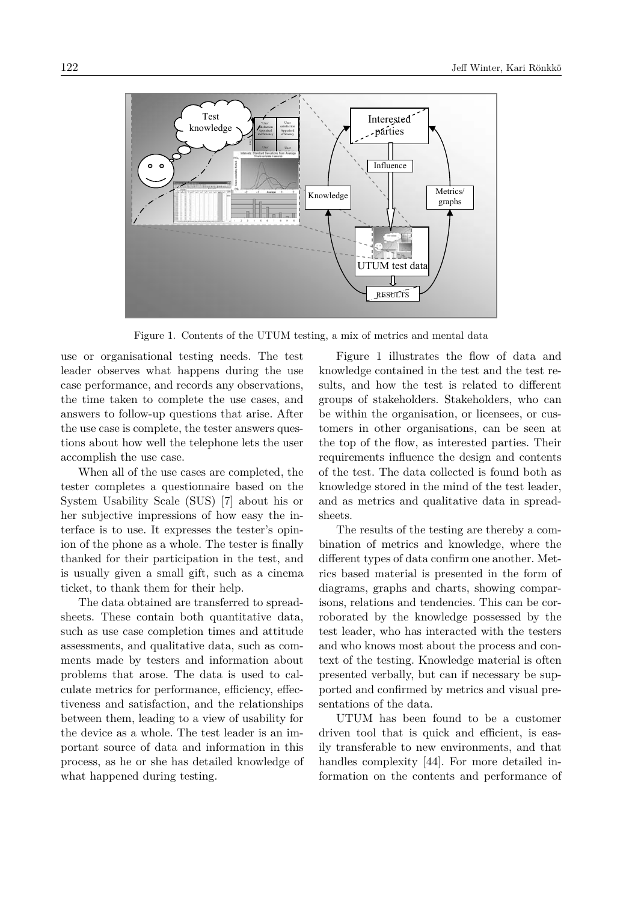

Figure 1. Contents of the UTUM testing, a mix of metrics and mental data

use or organisational testing needs. The test leader observes what happens during the use case performance, and records any observations, the time taken to complete the use cases, and answers to follow-up questions that arise. After the use case is complete, the tester answers questions about how well the telephone lets the user accomplish the use case.

When all of the use cases are completed, the tester completes a questionnaire based on the System Usability Scale (SUS) [7] about his or her subjective impressions of how easy the interface is to use. It expresses the tester's opinion of the phone as a whole. The tester is finally thanked for their participation in the test, and is usually given a small gift, such as a cinema ticket, to thank them for their help.

The data obtained are transferred to spreadsheets. These contain both quantitative data, such as use case completion times and attitude assessments, and qualitative data, such as comments made by testers and information about problems that arose. The data is used to calculate metrics for performance, efficiency, effectiveness and satisfaction, and the relationships between them, leading to a view of usability for the device as a whole. The test leader is an important source of data and information in this process, as he or she has detailed knowledge of what happened during testing.

Figure 1 illustrates the flow of data and knowledge contained in the test and the test results, and how the test is related to different groups of stakeholders. Stakeholders, who can be within the organisation, or licensees, or customers in other organisations, can be seen at the top of the flow, as interested parties. Their requirements influence the design and contents of the test. The data collected is found both as knowledge stored in the mind of the test leader, and as metrics and qualitative data in spreadsheets.

The results of the testing are thereby a combination of metrics and knowledge, where the different types of data confirm one another. Metrics based material is presented in the form of diagrams, graphs and charts, showing comparisons, relations and tendencies. This can be corroborated by the knowledge possessed by the test leader, who has interacted with the testers and who knows most about the process and context of the testing. Knowledge material is often presented verbally, but can if necessary be supported and confirmed by metrics and visual presentations of the data.

UTUM has been found to be a customer driven tool that is quick and efficient, is easily transferable to new environments, and that handles complexity [44]. For more detailed information on the contents and performance of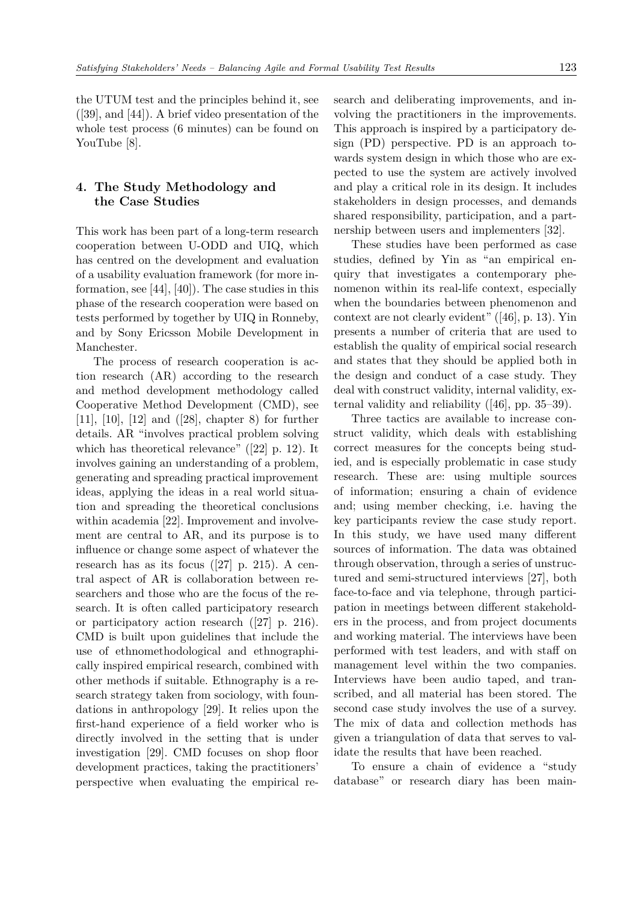the UTUM test and the principles behind it, see ([39], and [44]). A brief video presentation of the whole test process (6 minutes) can be found on YouTube [8].

# **4. The Study Methodology and the Case Studies**

This work has been part of a long-term research cooperation between U-ODD and UIQ, which has centred on the development and evaluation of a usability evaluation framework (for more information, see [44], [40]). The case studies in this phase of the research cooperation were based on tests performed by together by UIQ in Ronneby, and by Sony Ericsson Mobile Development in Manchester.

The process of research cooperation is action research (AR) according to the research and method development methodology called Cooperative Method Development (CMD), see [11], [10], [12] and ([28], chapter 8) for further details. AR "involves practical problem solving which has theoretical relevance" ([22] p. 12). It involves gaining an understanding of a problem, generating and spreading practical improvement ideas, applying the ideas in a real world situation and spreading the theoretical conclusions within academia [22]. Improvement and involvement are central to AR, and its purpose is to influence or change some aspect of whatever the research has as its focus ([27] p. 215). A central aspect of AR is collaboration between researchers and those who are the focus of the research. It is often called participatory research or participatory action research ([27] p. 216). CMD is built upon guidelines that include the use of ethnomethodological and ethnographically inspired empirical research, combined with other methods if suitable. Ethnography is a research strategy taken from sociology, with foundations in anthropology [29]. It relies upon the first-hand experience of a field worker who is directly involved in the setting that is under investigation [29]. CMD focuses on shop floor development practices, taking the practitioners' perspective when evaluating the empirical research and deliberating improvements, and involving the practitioners in the improvements. This approach is inspired by a participatory design (PD) perspective. PD is an approach towards system design in which those who are expected to use the system are actively involved and play a critical role in its design. It includes stakeholders in design processes, and demands shared responsibility, participation, and a partnership between users and implementers [32].

These studies have been performed as case studies, defined by Yin as "an empirical enquiry that investigates a contemporary phenomenon within its real-life context, especially when the boundaries between phenomenon and context are not clearly evident" ([46], p. 13). Yin presents a number of criteria that are used to establish the quality of empirical social research and states that they should be applied both in the design and conduct of a case study. They deal with construct validity, internal validity, external validity and reliability ([46], pp. 35–39).

Three tactics are available to increase construct validity, which deals with establishing correct measures for the concepts being studied, and is especially problematic in case study research. These are: using multiple sources of information; ensuring a chain of evidence and; using member checking, i.e. having the key participants review the case study report. In this study, we have used many different sources of information. The data was obtained through observation, through a series of unstructured and semi-structured interviews [27], both face-to-face and via telephone, through participation in meetings between different stakeholders in the process, and from project documents and working material. The interviews have been performed with test leaders, and with staff on management level within the two companies. Interviews have been audio taped, and transcribed, and all material has been stored. The second case study involves the use of a survey. The mix of data and collection methods has given a triangulation of data that serves to validate the results that have been reached.

To ensure a chain of evidence a "study database" or research diary has been main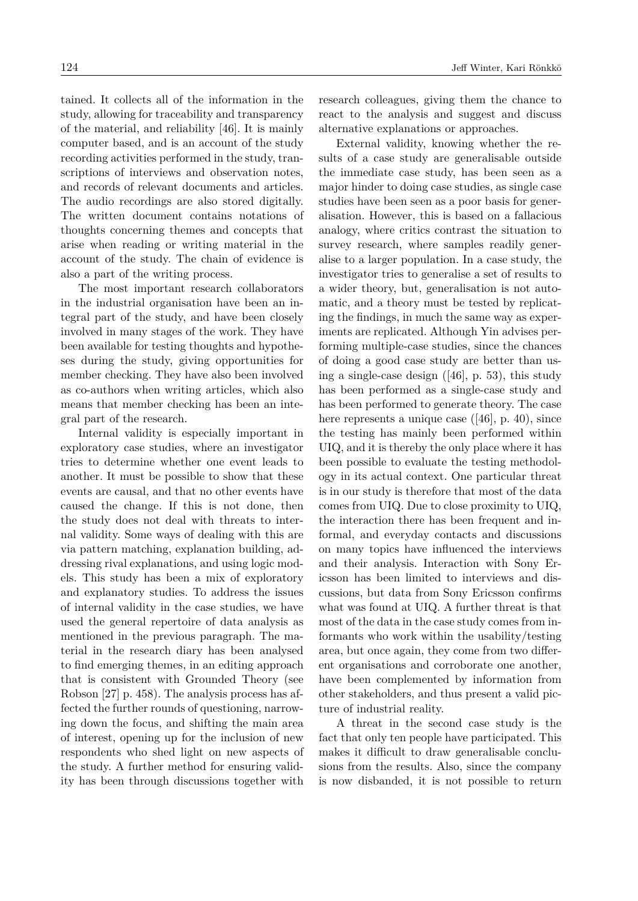tained. It collects all of the information in the study, allowing for traceability and transparency of the material, and reliability [46]. It is mainly computer based, and is an account of the study recording activities performed in the study, transcriptions of interviews and observation notes, and records of relevant documents and articles. The audio recordings are also stored digitally. The written document contains notations of thoughts concerning themes and concepts that arise when reading or writing material in the account of the study. The chain of evidence is also a part of the writing process.

The most important research collaborators in the industrial organisation have been an integral part of the study, and have been closely involved in many stages of the work. They have been available for testing thoughts and hypotheses during the study, giving opportunities for member checking. They have also been involved as co-authors when writing articles, which also means that member checking has been an integral part of the research.

Internal validity is especially important in exploratory case studies, where an investigator tries to determine whether one event leads to another. It must be possible to show that these events are causal, and that no other events have caused the change. If this is not done, then the study does not deal with threats to internal validity. Some ways of dealing with this are via pattern matching, explanation building, addressing rival explanations, and using logic models. This study has been a mix of exploratory and explanatory studies. To address the issues of internal validity in the case studies, we have used the general repertoire of data analysis as mentioned in the previous paragraph. The material in the research diary has been analysed to find emerging themes, in an editing approach that is consistent with Grounded Theory (see Robson [27] p. 458). The analysis process has affected the further rounds of questioning, narrowing down the focus, and shifting the main area of interest, opening up for the inclusion of new respondents who shed light on new aspects of the study. A further method for ensuring validity has been through discussions together with research colleagues, giving them the chance to react to the analysis and suggest and discuss alternative explanations or approaches.

External validity, knowing whether the results of a case study are generalisable outside the immediate case study, has been seen as a major hinder to doing case studies, as single case studies have been seen as a poor basis for generalisation. However, this is based on a fallacious analogy, where critics contrast the situation to survey research, where samples readily generalise to a larger population. In a case study, the investigator tries to generalise a set of results to a wider theory, but, generalisation is not automatic, and a theory must be tested by replicating the findings, in much the same way as experiments are replicated. Although Yin advises performing multiple-case studies, since the chances of doing a good case study are better than using a single-case design ([46], p. 53), this study has been performed as a single-case study and has been performed to generate theory. The case here represents a unique case ([46], p. 40), since the testing has mainly been performed within UIQ, and it is thereby the only place where it has been possible to evaluate the testing methodology in its actual context. One particular threat is in our study is therefore that most of the data comes from UIQ. Due to close proximity to UIQ, the interaction there has been frequent and informal, and everyday contacts and discussions on many topics have influenced the interviews and their analysis. Interaction with Sony Ericsson has been limited to interviews and discussions, but data from Sony Ericsson confirms what was found at UIQ. A further threat is that most of the data in the case study comes from informants who work within the usability/testing area, but once again, they come from two different organisations and corroborate one another, have been complemented by information from other stakeholders, and thus present a valid picture of industrial reality.

A threat in the second case study is the fact that only ten people have participated. This makes it difficult to draw generalisable conclusions from the results. Also, since the company is now disbanded, it is not possible to return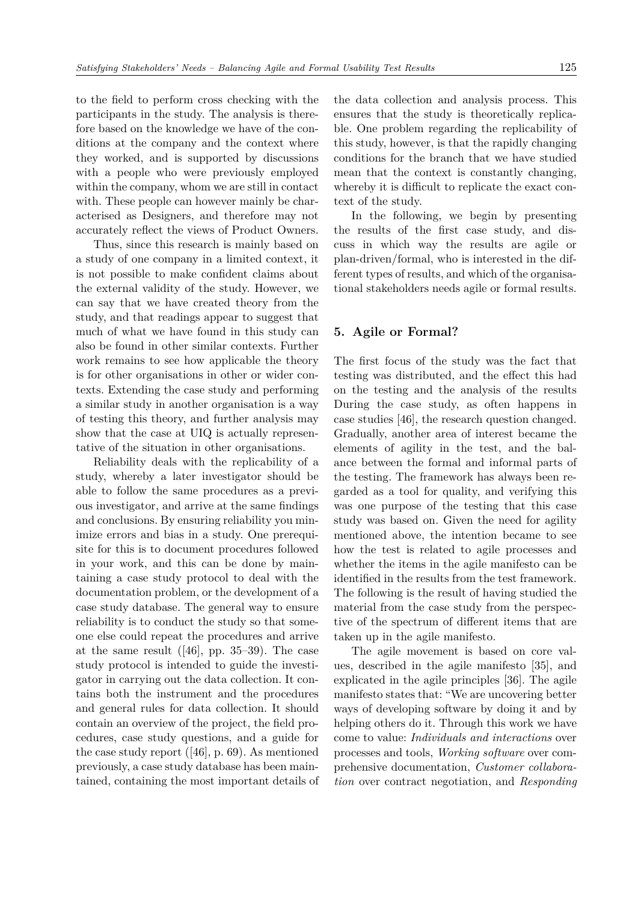to the field to perform cross checking with the participants in the study. The analysis is therefore based on the knowledge we have of the conditions at the company and the context where they worked, and is supported by discussions with a people who were previously employed within the company, whom we are still in contact with. These people can however mainly be characterised as Designers, and therefore may not accurately reflect the views of Product Owners.

Thus, since this research is mainly based on a study of one company in a limited context, it is not possible to make confident claims about the external validity of the study. However, we can say that we have created theory from the study, and that readings appear to suggest that much of what we have found in this study can also be found in other similar contexts. Further work remains to see how applicable the theory is for other organisations in other or wider contexts. Extending the case study and performing a similar study in another organisation is a way of testing this theory, and further analysis may show that the case at UIQ is actually representative of the situation in other organisations.

Reliability deals with the replicability of a study, whereby a later investigator should be able to follow the same procedures as a previous investigator, and arrive at the same findings and conclusions. By ensuring reliability you minimize errors and bias in a study. One prerequisite for this is to document procedures followed in your work, and this can be done by maintaining a case study protocol to deal with the documentation problem, or the development of a case study database. The general way to ensure reliability is to conduct the study so that someone else could repeat the procedures and arrive at the same result  $([46], pp. 35-39)$ . The case study protocol is intended to guide the investigator in carrying out the data collection. It contains both the instrument and the procedures and general rules for data collection. It should contain an overview of the project, the field procedures, case study questions, and a guide for the case study report ([46], p. 69). As mentioned previously, a case study database has been maintained, containing the most important details of the data collection and analysis process. This ensures that the study is theoretically replicable. One problem regarding the replicability of this study, however, is that the rapidly changing conditions for the branch that we have studied mean that the context is constantly changing, whereby it is difficult to replicate the exact context of the study.

In the following, we begin by presenting the results of the first case study, and discuss in which way the results are agile or plan-driven/formal, who is interested in the different types of results, and which of the organisational stakeholders needs agile or formal results.

## **5. Agile or Formal?**

The first focus of the study was the fact that testing was distributed, and the effect this had on the testing and the analysis of the results During the case study, as often happens in case studies [46], the research question changed. Gradually, another area of interest became the elements of agility in the test, and the balance between the formal and informal parts of the testing. The framework has always been regarded as a tool for quality, and verifying this was one purpose of the testing that this case study was based on. Given the need for agility mentioned above, the intention became to see how the test is related to agile processes and whether the items in the agile manifesto can be identified in the results from the test framework. The following is the result of having studied the material from the case study from the perspective of the spectrum of different items that are taken up in the agile manifesto.

The agile movement is based on core values, described in the agile manifesto [35], and explicated in the agile principles [36]. The agile manifesto states that: "We are uncovering better ways of developing software by doing it and by helping others do it. Through this work we have come to value: *Individuals and interactions* over processes and tools, *Working software* over comprehensive documentation, *Customer collaboration* over contract negotiation, and *Responding*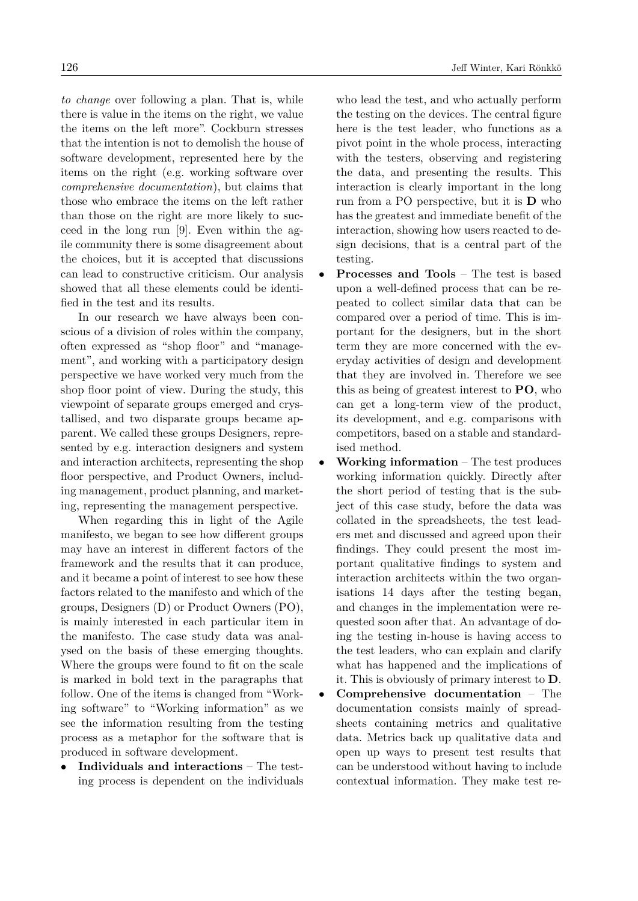*to change* over following a plan. That is, while there is value in the items on the right, we value the items on the left more". Cockburn stresses that the intention is not to demolish the house of software development, represented here by the items on the right (e.g. working software over *comprehensive documentation*), but claims that those who embrace the items on the left rather than those on the right are more likely to succeed in the long run [9]. Even within the agile community there is some disagreement about the choices, but it is accepted that discussions can lead to constructive criticism. Our analysis showed that all these elements could be identified in the test and its results.

In our research we have always been conscious of a division of roles within the company, often expressed as "shop floor" and "management", and working with a participatory design perspective we have worked very much from the shop floor point of view. During the study, this viewpoint of separate groups emerged and crystallised, and two disparate groups became apparent. We called these groups Designers, represented by e.g. interaction designers and system and interaction architects, representing the shop floor perspective, and Product Owners, including management, product planning, and marketing, representing the management perspective.

When regarding this in light of the Agile manifesto, we began to see how different groups may have an interest in different factors of the framework and the results that it can produce, and it became a point of interest to see how these factors related to the manifesto and which of the groups, Designers (D) or Product Owners (PO), is mainly interested in each particular item in the manifesto. The case study data was analysed on the basis of these emerging thoughts. Where the groups were found to fit on the scale is marked in bold text in the paragraphs that follow. One of the items is changed from "Working software" to "Working information" as we see the information resulting from the testing process as a metaphor for the software that is produced in software development.

*•* **Individuals and interactions** – The testing process is dependent on the individuals who lead the test, and who actually perform the testing on the devices. The central figure here is the test leader, who functions as a pivot point in the whole process, interacting with the testers, observing and registering the data, and presenting the results. This interaction is clearly important in the long run from a PO perspective, but it is **D** who has the greatest and immediate benefit of the interaction, showing how users reacted to design decisions, that is a central part of the testing.

- *•* **Processes and Tools** The test is based upon a well-defined process that can be repeated to collect similar data that can be compared over a period of time. This is important for the designers, but in the short term they are more concerned with the everyday activities of design and development that they are involved in. Therefore we see this as being of greatest interest to **PO**, who can get a long-term view of the product, its development, and e.g. comparisons with competitors, based on a stable and standardised method.
- *•* **Working information** The test produces working information quickly. Directly after the short period of testing that is the subject of this case study, before the data was collated in the spreadsheets, the test leaders met and discussed and agreed upon their findings. They could present the most important qualitative findings to system and interaction architects within the two organisations 14 days after the testing began, and changes in the implementation were requested soon after that. An advantage of doing the testing in-house is having access to the test leaders, who can explain and clarify what has happened and the implications of it. This is obviously of primary interest to **D**.
- *•* **Comprehensive documentation** The documentation consists mainly of spreadsheets containing metrics and qualitative data. Metrics back up qualitative data and open up ways to present test results that can be understood without having to include contextual information. They make test re-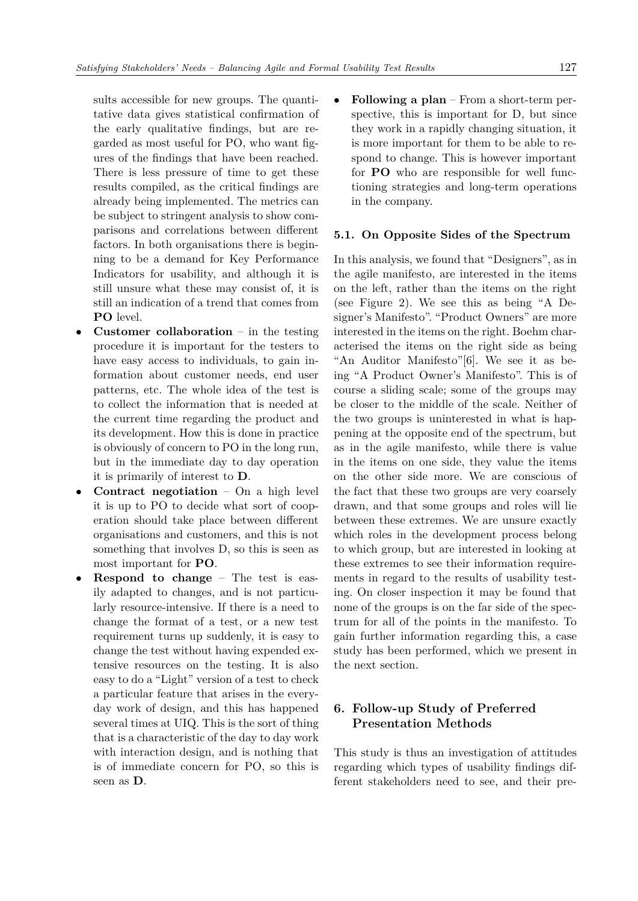sults accessible for new groups. The quantitative data gives statistical confirmation of the early qualitative findings, but are regarded as most useful for PO, who want figures of the findings that have been reached. There is less pressure of time to get these results compiled, as the critical findings are already being implemented. The metrics can be subject to stringent analysis to show comparisons and correlations between different factors. In both organisations there is beginning to be a demand for Key Performance Indicators for usability, and although it is still unsure what these may consist of, it is still an indication of a trend that comes from **PO** level.

- *•* **Customer collaboration** in the testing procedure it is important for the testers to have easy access to individuals, to gain information about customer needs, end user patterns, etc. The whole idea of the test is to collect the information that is needed at the current time regarding the product and its development. How this is done in practice is obviously of concern to PO in the long run, but in the immediate day to day operation it is primarily of interest to **D**.
- *•* **Contract negotiation** On a high level it is up to PO to decide what sort of cooperation should take place between different organisations and customers, and this is not something that involves D, so this is seen as most important for **PO**.
- **Respond to change** The test is easily adapted to changes, and is not particularly resource-intensive. If there is a need to change the format of a test, or a new test requirement turns up suddenly, it is easy to change the test without having expended extensive resources on the testing. It is also easy to do a "Light" version of a test to check a particular feature that arises in the everyday work of design, and this has happened several times at UIQ. This is the sort of thing that is a characteristic of the day to day work with interaction design, and is nothing that is of immediate concern for PO, so this is seen as **D**.

*•* **Following a plan** – From a short-term perspective, this is important for D, but since they work in a rapidly changing situation, it is more important for them to be able to respond to change. This is however important for **PO** who are responsible for well functioning strategies and long-term operations in the company.

#### **5.1. On Opposite Sides of the Spectrum**

In this analysis, we found that "Designers", as in the agile manifesto, are interested in the items on the left, rather than the items on the right (see Figure 2). We see this as being "A Designer's Manifesto". "Product Owners" are more interested in the items on the right. Boehm characterised the items on the right side as being "An Auditor Manifesto"[6]. We see it as being "A Product Owner's Manifesto". This is of course a sliding scale; some of the groups may be closer to the middle of the scale. Neither of the two groups is uninterested in what is happening at the opposite end of the spectrum, but as in the agile manifesto, while there is value in the items on one side, they value the items on the other side more. We are conscious of the fact that these two groups are very coarsely drawn, and that some groups and roles will lie between these extremes. We are unsure exactly which roles in the development process belong to which group, but are interested in looking at these extremes to see their information requirements in regard to the results of usability testing. On closer inspection it may be found that none of the groups is on the far side of the spectrum for all of the points in the manifesto. To gain further information regarding this, a case study has been performed, which we present in the next section.

# **6. Follow-up Study of Preferred Presentation Methods**

This study is thus an investigation of attitudes regarding which types of usability findings different stakeholders need to see, and their pre-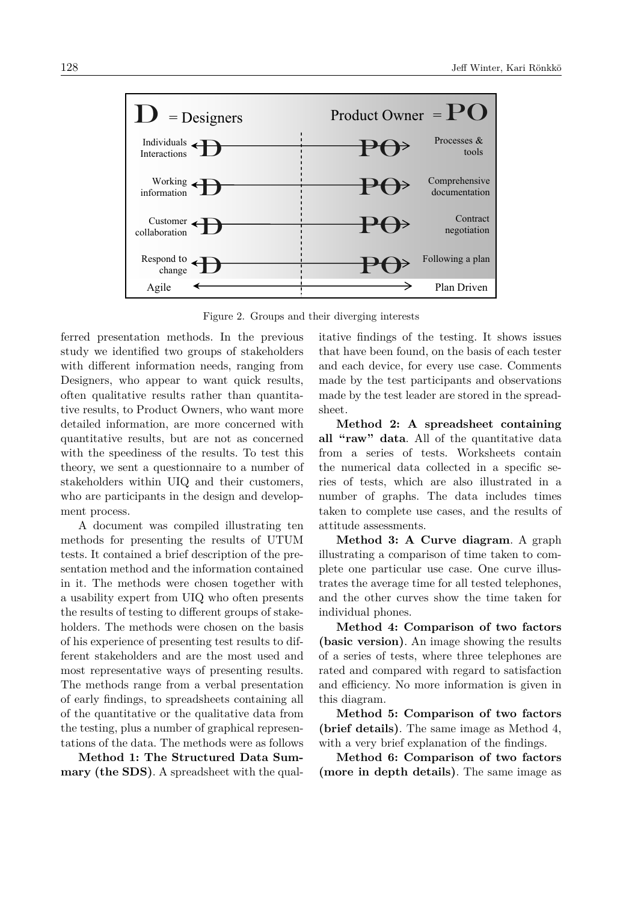

Figure 2. Groups and their diverging interests

ferred presentation methods. In the previous study we identified two groups of stakeholders with different information needs, ranging from Designers, who appear to want quick results, often qualitative results rather than quantitative results, to Product Owners, who want more detailed information, are more concerned with quantitative results, but are not as concerned with the speediness of the results. To test this theory, we sent a questionnaire to a number of stakeholders within UIQ and their customers, who are participants in the design and development process.

A document was compiled illustrating ten methods for presenting the results of UTUM tests. It contained a brief description of the presentation method and the information contained in it. The methods were chosen together with a usability expert from UIQ who often presents the results of testing to different groups of stakeholders. The methods were chosen on the basis of his experience of presenting test results to different stakeholders and are the most used and most representative ways of presenting results. The methods range from a verbal presentation of early findings, to spreadsheets containing all of the quantitative or the qualitative data from the testing, plus a number of graphical representations of the data. The methods were as follows

**Method 1: The Structured Data Summary (the SDS)**. A spreadsheet with the qualitative findings of the testing. It shows issues that have been found, on the basis of each tester and each device, for every use case. Comments made by the test participants and observations made by the test leader are stored in the spreadsheet.

**Method 2: A spreadsheet containing all "raw" data**. All of the quantitative data from a series of tests. Worksheets contain the numerical data collected in a specific series of tests, which are also illustrated in a number of graphs. The data includes times taken to complete use cases, and the results of attitude assessments.

**Method 3: A Curve diagram**. A graph illustrating a comparison of time taken to complete one particular use case. One curve illustrates the average time for all tested telephones, and the other curves show the time taken for individual phones.

**Method 4: Comparison of two factors (basic version)**. An image showing the results of a series of tests, where three telephones are rated and compared with regard to satisfaction and efficiency. No more information is given in this diagram.

**Method 5: Comparison of two factors (brief details)**. The same image as Method 4, with a very brief explanation of the findings.

**Method 6: Comparison of two factors (more in depth details)**. The same image as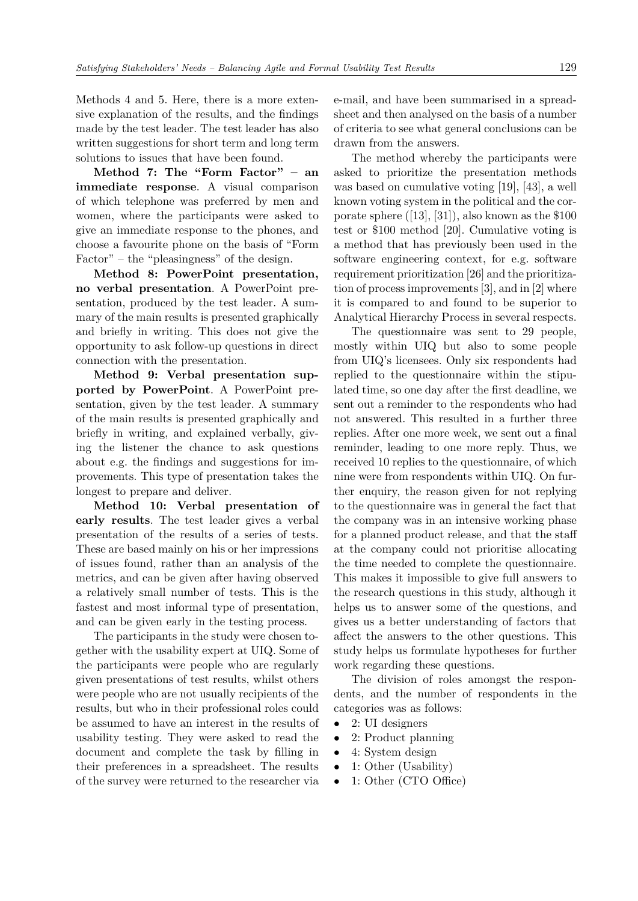Methods 4 and 5. Here, there is a more extensive explanation of the results, and the findings made by the test leader. The test leader has also written suggestions for short term and long term solutions to issues that have been found.

**Method 7: The "Form Factor" – an immediate response**. A visual comparison of which telephone was preferred by men and women, where the participants were asked to give an immediate response to the phones, and choose a favourite phone on the basis of "Form Factor" – the "pleasingness" of the design.

**Method 8: PowerPoint presentation, no verbal presentation**. A PowerPoint presentation, produced by the test leader. A summary of the main results is presented graphically and briefly in writing. This does not give the opportunity to ask follow-up questions in direct connection with the presentation.

**Method 9: Verbal presentation supported by PowerPoint**. A PowerPoint presentation, given by the test leader. A summary of the main results is presented graphically and briefly in writing, and explained verbally, giving the listener the chance to ask questions about e.g. the findings and suggestions for improvements. This type of presentation takes the longest to prepare and deliver.

**Method 10: Verbal presentation of early results**. The test leader gives a verbal presentation of the results of a series of tests. These are based mainly on his or her impressions of issues found, rather than an analysis of the metrics, and can be given after having observed a relatively small number of tests. This is the fastest and most informal type of presentation, and can be given early in the testing process.

The participants in the study were chosen together with the usability expert at UIQ. Some of the participants were people who are regularly given presentations of test results, whilst others were people who are not usually recipients of the results, but who in their professional roles could be assumed to have an interest in the results of usability testing. They were asked to read the document and complete the task by filling in their preferences in a spreadsheet. The results of the survey were returned to the researcher via e-mail, and have been summarised in a spreadsheet and then analysed on the basis of a number of criteria to see what general conclusions can be drawn from the answers.

The method whereby the participants were asked to prioritize the presentation methods was based on cumulative voting [19], [43], a well known voting system in the political and the corporate sphere  $([13], [31])$ , also known as the \$100 test or \$100 method [20]. Cumulative voting is a method that has previously been used in the software engineering context, for e.g. software requirement prioritization [26] and the prioritization of process improvements [3], and in [2] where it is compared to and found to be superior to Analytical Hierarchy Process in several respects.

The questionnaire was sent to 29 people, mostly within UIQ but also to some people from UIQ's licensees. Only six respondents had replied to the questionnaire within the stipulated time, so one day after the first deadline, we sent out a reminder to the respondents who had not answered. This resulted in a further three replies. After one more week, we sent out a final reminder, leading to one more reply. Thus, we received 10 replies to the questionnaire, of which nine were from respondents within UIQ. On further enquiry, the reason given for not replying to the questionnaire was in general the fact that the company was in an intensive working phase for a planned product release, and that the staff at the company could not prioritise allocating the time needed to complete the questionnaire. This makes it impossible to give full answers to the research questions in this study, although it helps us to answer some of the questions, and gives us a better understanding of factors that affect the answers to the other questions. This study helps us formulate hypotheses for further work regarding these questions.

The division of roles amongst the respondents, and the number of respondents in the categories was as follows:

- *•* 2: UI designers
- 2: Product planning<br>• 4: System design
- *•* 4: System design
- 1: Other (Usability)<br>• 1: Other (CTO Office
- *•* 1: Other (CTO Office)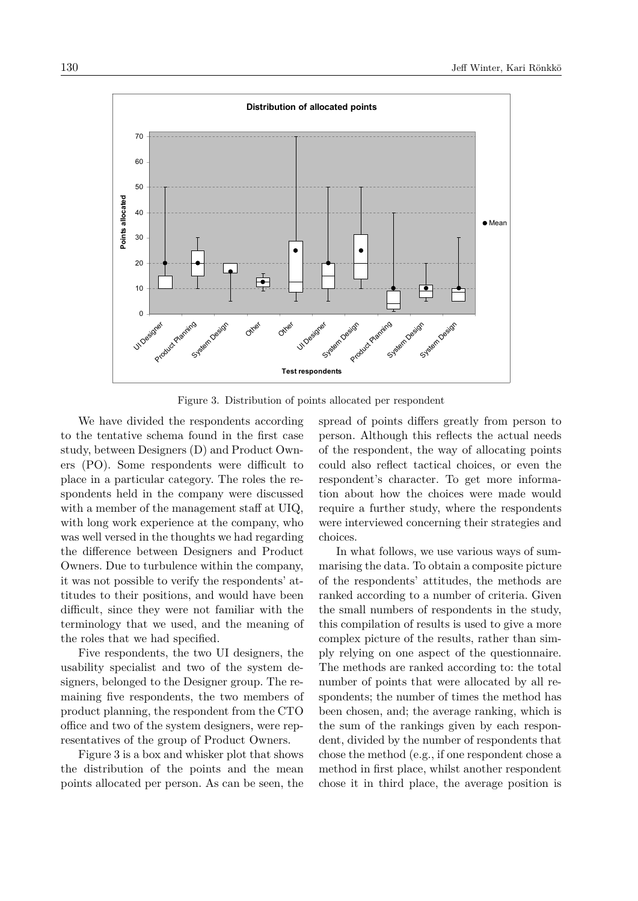

Figure 3. Distribution of points allocated per respondent

We have divided the respondents according to the tentative schema found in the first case study, between Designers (D) and Product Owners (PO). Some respondents were difficult to place in a particular category. The roles the respondents held in the company were discussed with a member of the management staff at UIQ, with long work experience at the company, who was well versed in the thoughts we had regarding the difference between Designers and Product Owners. Due to turbulence within the company, it was not possible to verify the respondents' attitudes to their positions, and would have been difficult, since they were not familiar with the terminology that we used, and the meaning of the roles that we had specified.

Five respondents, the two UI designers, the usability specialist and two of the system designers, belonged to the Designer group. The remaining five respondents, the two members of product planning, the respondent from the CTO office and two of the system designers, were representatives of the group of Product Owners.

Figure 3 is a box and whisker plot that shows the distribution of the points and the mean points allocated per person. As can be seen, the

spread of points differs greatly from person to person. Although this reflects the actual needs of the respondent, the way of allocating points could also reflect tactical choices, or even the respondent's character. To get more information about how the choices were made would require a further study, where the respondents were interviewed concerning their strategies and choices.

In what follows, we use various ways of summarising the data. To obtain a composite picture of the respondents' attitudes, the methods are ranked according to a number of criteria. Given the small numbers of respondents in the study, this compilation of results is used to give a more complex picture of the results, rather than simply relying on one aspect of the questionnaire. The methods are ranked according to: the total number of points that were allocated by all respondents; the number of times the method has been chosen, and; the average ranking, which is the sum of the rankings given by each respondent, divided by the number of respondents that chose the method (e.g., if one respondent chose a method in first place, whilst another respondent chose it in third place, the average position is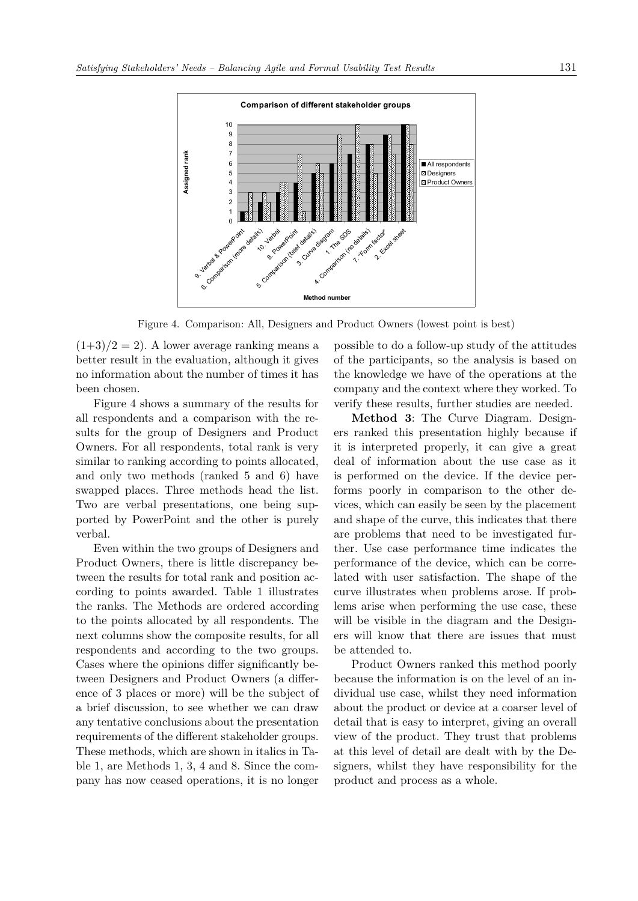

Figure 4. Comparison: All, Designers and Product Owners (lowest point is best)

 $(1+3)/2 = 2$ . A lower average ranking means a better result in the evaluation, although it gives no information about the number of times it has been chosen.

Figure 4 shows a summary of the results for all respondents and a comparison with the results for the group of Designers and Product Owners. For all respondents, total rank is very similar to ranking according to points allocated, and only two methods (ranked 5 and 6) have swapped places. Three methods head the list. Two are verbal presentations, one being supported by PowerPoint and the other is purely verbal.

Even within the two groups of Designers and Product Owners, there is little discrepancy between the results for total rank and position according to points awarded. Table 1 illustrates the ranks. The Methods are ordered according to the points allocated by all respondents. The next columns show the composite results, for all respondents and according to the two groups. Cases where the opinions differ significantly between Designers and Product Owners (a difference of 3 places or more) will be the subject of a brief discussion, to see whether we can draw any tentative conclusions about the presentation requirements of the different stakeholder groups. These methods, which are shown in italics in Table 1, are Methods 1, 3, 4 and 8. Since the company has now ceased operations, it is no longer possible to do a follow-up study of the attitudes of the participants, so the analysis is based on the knowledge we have of the operations at the company and the context where they worked. To verify these results, further studies are needed.

**Method 3**: The Curve Diagram. Designers ranked this presentation highly because if it is interpreted properly, it can give a great deal of information about the use case as it is performed on the device. If the device performs poorly in comparison to the other devices, which can easily be seen by the placement and shape of the curve, this indicates that there are problems that need to be investigated further. Use case performance time indicates the performance of the device, which can be correlated with user satisfaction. The shape of the curve illustrates when problems arose. If problems arise when performing the use case, these will be visible in the diagram and the Designers will know that there are issues that must be attended to.

Product Owners ranked this method poorly because the information is on the level of an individual use case, whilst they need information about the product or device at a coarser level of detail that is easy to interpret, giving an overall view of the product. They trust that problems at this level of detail are dealt with by the Designers, whilst they have responsibility for the product and process as a whole.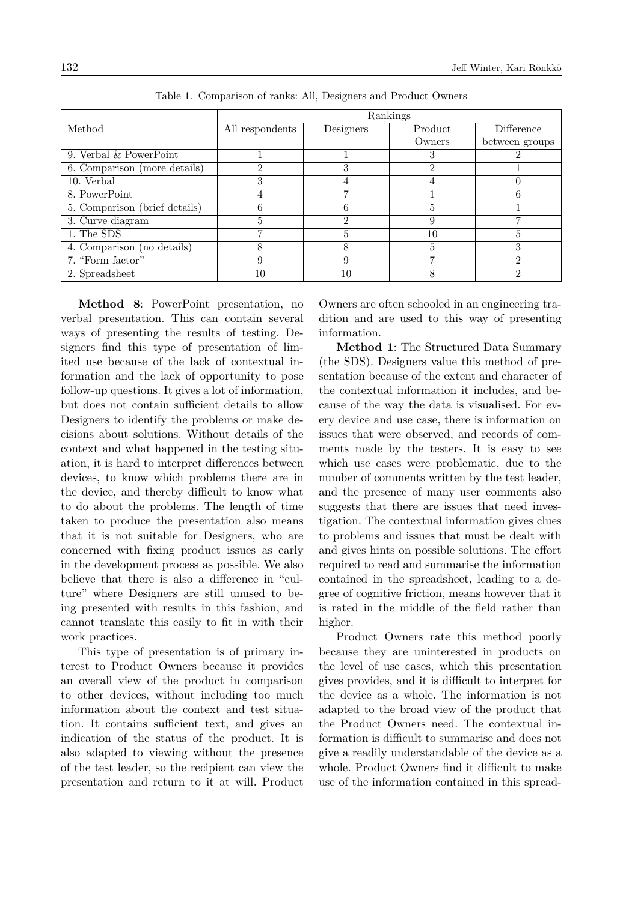|                                | Rankings        |           |               |                |
|--------------------------------|-----------------|-----------|---------------|----------------|
| Method                         | All respondents | Designers | Product       | Difference     |
|                                |                 |           | Owners        | between groups |
| 9. Verbal & PowerPoint         |                 |           | 3             |                |
| 6. Comparison (more details)   |                 | 3         | $\mathcal{D}$ |                |
| 10. Verbal                     |                 |           |               |                |
| 8. PowerPoint                  |                 |           |               |                |
| 5. Comparison (brief details)  |                 | 6         | 5             |                |
| $\overline{3}$ . Curve diagram |                 | 2         | 9             |                |
| 1. The SDS                     |                 | 5         | 10            |                |
| 4. Comparison (no details)     | 8               | 8         | 5             |                |
| 7. "Form factor"               | 9               | 9         |               | ິ              |
| 2. Spreadsheet                 | 10              | 10        |               | $\Omega$       |

Table 1. Comparison of ranks: All, Designers and Product Owners

**Method 8**: PowerPoint presentation, no verbal presentation. This can contain several ways of presenting the results of testing. Designers find this type of presentation of limited use because of the lack of contextual information and the lack of opportunity to pose follow-up questions. It gives a lot of information, but does not contain sufficient details to allow Designers to identify the problems or make decisions about solutions. Without details of the context and what happened in the testing situation, it is hard to interpret differences between devices, to know which problems there are in the device, and thereby difficult to know what to do about the problems. The length of time taken to produce the presentation also means that it is not suitable for Designers, who are concerned with fixing product issues as early in the development process as possible. We also believe that there is also a difference in "culture" where Designers are still unused to being presented with results in this fashion, and cannot translate this easily to fit in with their work practices.

This type of presentation is of primary interest to Product Owners because it provides an overall view of the product in comparison to other devices, without including too much information about the context and test situation. It contains sufficient text, and gives an indication of the status of the product. It is also adapted to viewing without the presence of the test leader, so the recipient can view the presentation and return to it at will. Product Owners are often schooled in an engineering tradition and are used to this way of presenting information.

**Method 1**: The Structured Data Summary (the SDS). Designers value this method of presentation because of the extent and character of the contextual information it includes, and because of the way the data is visualised. For every device and use case, there is information on issues that were observed, and records of comments made by the testers. It is easy to see which use cases were problematic, due to the number of comments written by the test leader, and the presence of many user comments also suggests that there are issues that need investigation. The contextual information gives clues to problems and issues that must be dealt with and gives hints on possible solutions. The effort required to read and summarise the information contained in the spreadsheet, leading to a degree of cognitive friction, means however that it is rated in the middle of the field rather than higher.

Product Owners rate this method poorly because they are uninterested in products on the level of use cases, which this presentation gives provides, and it is difficult to interpret for the device as a whole. The information is not adapted to the broad view of the product that the Product Owners need. The contextual information is difficult to summarise and does not give a readily understandable of the device as a whole. Product Owners find it difficult to make use of the information contained in this spread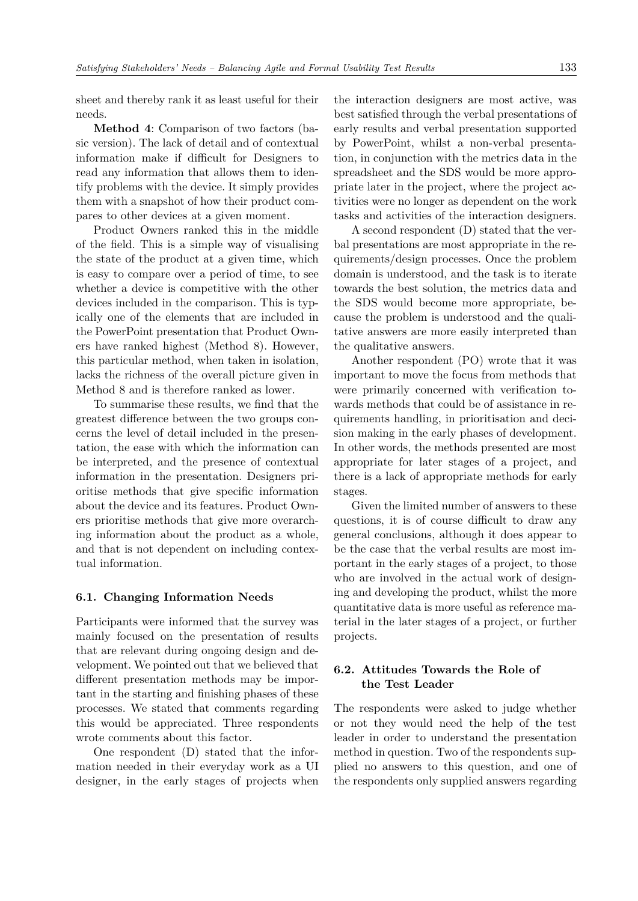sheet and thereby rank it as least useful for their needs.

**Method 4**: Comparison of two factors (basic version). The lack of detail and of contextual information make if difficult for Designers to read any information that allows them to identify problems with the device. It simply provides them with a snapshot of how their product compares to other devices at a given moment.

Product Owners ranked this in the middle of the field. This is a simple way of visualising the state of the product at a given time, which is easy to compare over a period of time, to see whether a device is competitive with the other devices included in the comparison. This is typically one of the elements that are included in the PowerPoint presentation that Product Owners have ranked highest (Method 8). However, this particular method, when taken in isolation, lacks the richness of the overall picture given in Method 8 and is therefore ranked as lower.

To summarise these results, we find that the greatest difference between the two groups concerns the level of detail included in the presentation, the ease with which the information can be interpreted, and the presence of contextual information in the presentation. Designers prioritise methods that give specific information about the device and its features. Product Owners prioritise methods that give more overarching information about the product as a whole, and that is not dependent on including contextual information.

#### **6.1. Changing Information Needs**

Participants were informed that the survey was mainly focused on the presentation of results that are relevant during ongoing design and development. We pointed out that we believed that different presentation methods may be important in the starting and finishing phases of these processes. We stated that comments regarding this would be appreciated. Three respondents wrote comments about this factor.

One respondent (D) stated that the information needed in their everyday work as a UI designer, in the early stages of projects when the interaction designers are most active, was best satisfied through the verbal presentations of early results and verbal presentation supported by PowerPoint, whilst a non-verbal presentation, in conjunction with the metrics data in the spreadsheet and the SDS would be more appropriate later in the project, where the project activities were no longer as dependent on the work tasks and activities of the interaction designers.

A second respondent (D) stated that the verbal presentations are most appropriate in the requirements/design processes. Once the problem domain is understood, and the task is to iterate towards the best solution, the metrics data and the SDS would become more appropriate, because the problem is understood and the qualitative answers are more easily interpreted than the qualitative answers.

Another respondent (PO) wrote that it was important to move the focus from methods that were primarily concerned with verification towards methods that could be of assistance in requirements handling, in prioritisation and decision making in the early phases of development. In other words, the methods presented are most appropriate for later stages of a project, and there is a lack of appropriate methods for early stages.

Given the limited number of answers to these questions, it is of course difficult to draw any general conclusions, although it does appear to be the case that the verbal results are most important in the early stages of a project, to those who are involved in the actual work of designing and developing the product, whilst the more quantitative data is more useful as reference material in the later stages of a project, or further projects.

# **6.2. Attitudes Towards the Role of the Test Leader**

The respondents were asked to judge whether or not they would need the help of the test leader in order to understand the presentation method in question. Two of the respondents supplied no answers to this question, and one of the respondents only supplied answers regarding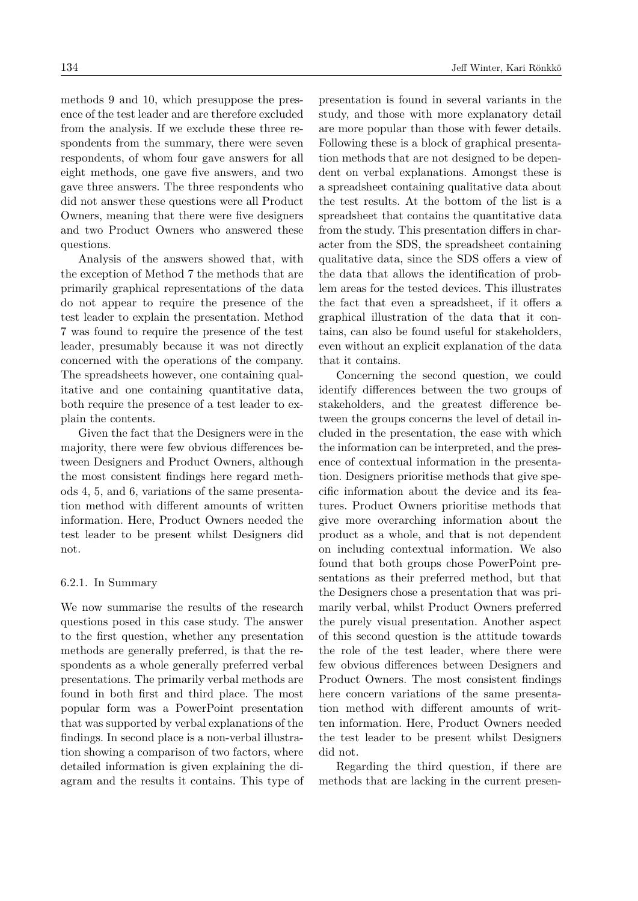methods 9 and 10, which presuppose the presence of the test leader and are therefore excluded from the analysis. If we exclude these three respondents from the summary, there were seven respondents, of whom four gave answers for all eight methods, one gave five answers, and two gave three answers. The three respondents who did not answer these questions were all Product Owners, meaning that there were five designers and two Product Owners who answered these questions.

Analysis of the answers showed that, with the exception of Method 7 the methods that are primarily graphical representations of the data do not appear to require the presence of the test leader to explain the presentation. Method 7 was found to require the presence of the test leader, presumably because it was not directly concerned with the operations of the company. The spreadsheets however, one containing qualitative and one containing quantitative data, both require the presence of a test leader to explain the contents.

Given the fact that the Designers were in the majority, there were few obvious differences between Designers and Product Owners, although the most consistent findings here regard methods 4, 5, and 6, variations of the same presentation method with different amounts of written information. Here, Product Owners needed the test leader to be present whilst Designers did not.

## 6.2.1. In Summary

We now summarise the results of the research questions posed in this case study. The answer to the first question, whether any presentation methods are generally preferred, is that the respondents as a whole generally preferred verbal presentations. The primarily verbal methods are found in both first and third place. The most popular form was a PowerPoint presentation that was supported by verbal explanations of the findings. In second place is a non-verbal illustration showing a comparison of two factors, where detailed information is given explaining the diagram and the results it contains. This type of

presentation is found in several variants in the study, and those with more explanatory detail are more popular than those with fewer details. Following these is a block of graphical presentation methods that are not designed to be dependent on verbal explanations. Amongst these is a spreadsheet containing qualitative data about the test results. At the bottom of the list is a spreadsheet that contains the quantitative data from the study. This presentation differs in character from the SDS, the spreadsheet containing qualitative data, since the SDS offers a view of the data that allows the identification of problem areas for the tested devices. This illustrates the fact that even a spreadsheet, if it offers a graphical illustration of the data that it contains, can also be found useful for stakeholders, even without an explicit explanation of the data that it contains.

Concerning the second question, we could identify differences between the two groups of stakeholders, and the greatest difference between the groups concerns the level of detail included in the presentation, the ease with which the information can be interpreted, and the presence of contextual information in the presentation. Designers prioritise methods that give specific information about the device and its features. Product Owners prioritise methods that give more overarching information about the product as a whole, and that is not dependent on including contextual information. We also found that both groups chose PowerPoint presentations as their preferred method, but that the Designers chose a presentation that was primarily verbal, whilst Product Owners preferred the purely visual presentation. Another aspect of this second question is the attitude towards the role of the test leader, where there were few obvious differences between Designers and Product Owners. The most consistent findings here concern variations of the same presentation method with different amounts of written information. Here, Product Owners needed the test leader to be present whilst Designers did not.

Regarding the third question, if there are methods that are lacking in the current presen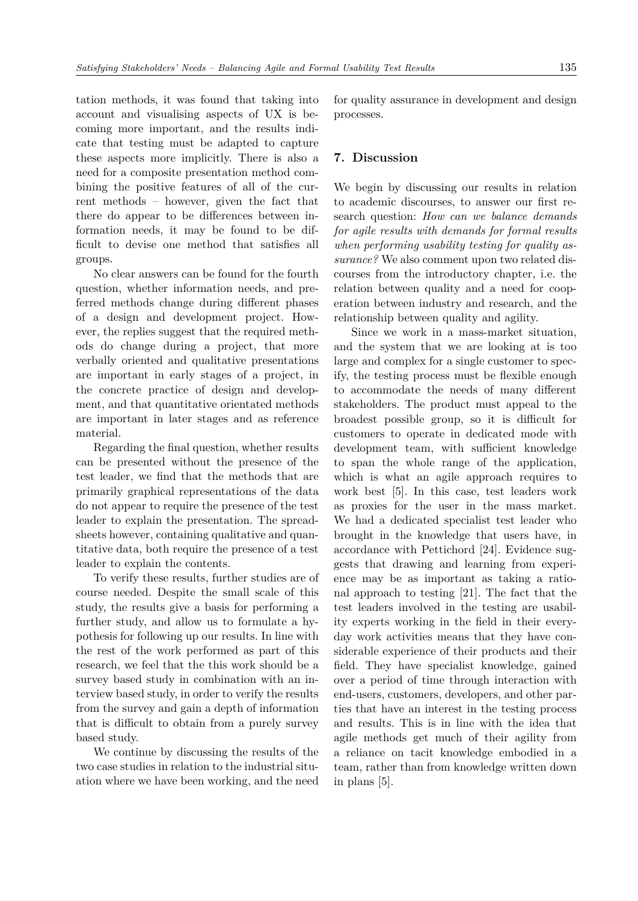tation methods, it was found that taking into account and visualising aspects of UX is becoming more important, and the results indicate that testing must be adapted to capture these aspects more implicitly. There is also a need for a composite presentation method combining the positive features of all of the current methods – however, given the fact that there do appear to be differences between information needs, it may be found to be difficult to devise one method that satisfies all groups.

No clear answers can be found for the fourth question, whether information needs, and preferred methods change during different phases of a design and development project. However, the replies suggest that the required methods do change during a project, that more verbally oriented and qualitative presentations are important in early stages of a project, in the concrete practice of design and development, and that quantitative orientated methods are important in later stages and as reference material.

Regarding the final question, whether results can be presented without the presence of the test leader, we find that the methods that are primarily graphical representations of the data do not appear to require the presence of the test leader to explain the presentation. The spreadsheets however, containing qualitative and quantitative data, both require the presence of a test leader to explain the contents.

To verify these results, further studies are of course needed. Despite the small scale of this study, the results give a basis for performing a further study, and allow us to formulate a hypothesis for following up our results. In line with the rest of the work performed as part of this research, we feel that the this work should be a survey based study in combination with an interview based study, in order to verify the results from the survey and gain a depth of information that is difficult to obtain from a purely survey based study.

We continue by discussing the results of the two case studies in relation to the industrial situation where we have been working, and the need for quality assurance in development and design processes.

## **7. Discussion**

We begin by discussing our results in relation to academic discourses, to answer our first research question: *How can we balance demands for agile results with demands for formal results when performing usability testing for quality assurance?* We also comment upon two related discourses from the introductory chapter, i.e. the relation between quality and a need for cooperation between industry and research, and the relationship between quality and agility.

Since we work in a mass-market situation, and the system that we are looking at is too large and complex for a single customer to specify, the testing process must be flexible enough to accommodate the needs of many different stakeholders. The product must appeal to the broadest possible group, so it is difficult for customers to operate in dedicated mode with development team, with sufficient knowledge to span the whole range of the application, which is what an agile approach requires to work best [5]. In this case, test leaders work as proxies for the user in the mass market. We had a dedicated specialist test leader who brought in the knowledge that users have, in accordance with Pettichord [24]. Evidence suggests that drawing and learning from experience may be as important as taking a rational approach to testing [21]. The fact that the test leaders involved in the testing are usability experts working in the field in their everyday work activities means that they have considerable experience of their products and their field. They have specialist knowledge, gained over a period of time through interaction with end-users, customers, developers, and other parties that have an interest in the testing process and results. This is in line with the idea that agile methods get much of their agility from a reliance on tacit knowledge embodied in a team, rather than from knowledge written down in plans [5].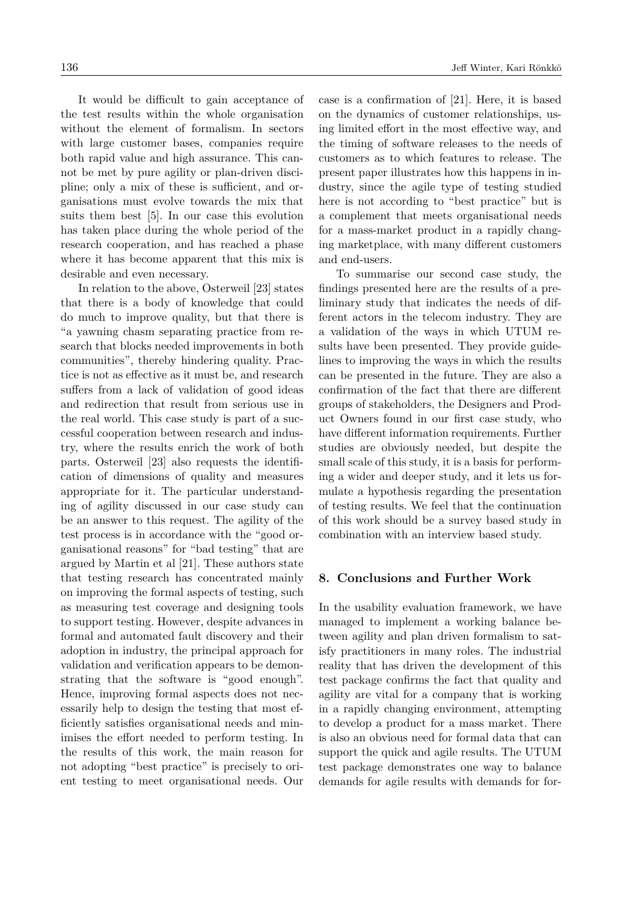It would be difficult to gain acceptance of the test results within the whole organisation without the element of formalism. In sectors with large customer bases, companies require both rapid value and high assurance. This cannot be met by pure agility or plan-driven discipline; only a mix of these is sufficient, and organisations must evolve towards the mix that suits them best [5]. In our case this evolution has taken place during the whole period of the research cooperation, and has reached a phase where it has become apparent that this mix is desirable and even necessary.

In relation to the above, Osterweil [23] states that there is a body of knowledge that could do much to improve quality, but that there is "a yawning chasm separating practice from research that blocks needed improvements in both communities", thereby hindering quality. Practice is not as effective as it must be, and research suffers from a lack of validation of good ideas and redirection that result from serious use in the real world. This case study is part of a successful cooperation between research and industry, where the results enrich the work of both parts. Osterweil [23] also requests the identification of dimensions of quality and measures appropriate for it. The particular understanding of agility discussed in our case study can be an answer to this request. The agility of the test process is in accordance with the "good organisational reasons" for "bad testing" that are argued by Martin et al [21]. These authors state that testing research has concentrated mainly on improving the formal aspects of testing, such as measuring test coverage and designing tools to support testing. However, despite advances in formal and automated fault discovery and their adoption in industry, the principal approach for validation and verification appears to be demonstrating that the software is "good enough". Hence, improving formal aspects does not necessarily help to design the testing that most efficiently satisfies organisational needs and minimises the effort needed to perform testing. In the results of this work, the main reason for not adopting "best practice" is precisely to orient testing to meet organisational needs. Our case is a confirmation of [21]. Here, it is based on the dynamics of customer relationships, using limited effort in the most effective way, and the timing of software releases to the needs of customers as to which features to release. The present paper illustrates how this happens in industry, since the agile type of testing studied here is not according to "best practice" but is a complement that meets organisational needs for a mass-market product in a rapidly changing marketplace, with many different customers and end-users.

To summarise our second case study, the findings presented here are the results of a preliminary study that indicates the needs of different actors in the telecom industry. They are a validation of the ways in which UTUM results have been presented. They provide guidelines to improving the ways in which the results can be presented in the future. They are also a confirmation of the fact that there are different groups of stakeholders, the Designers and Product Owners found in our first case study, who have different information requirements. Further studies are obviously needed, but despite the small scale of this study, it is a basis for performing a wider and deeper study, and it lets us formulate a hypothesis regarding the presentation of testing results. We feel that the continuation of this work should be a survey based study in combination with an interview based study.

## **8. Conclusions and Further Work**

In the usability evaluation framework, we have managed to implement a working balance between agility and plan driven formalism to satisfy practitioners in many roles. The industrial reality that has driven the development of this test package confirms the fact that quality and agility are vital for a company that is working in a rapidly changing environment, attempting to develop a product for a mass market. There is also an obvious need for formal data that can support the quick and agile results. The UTUM test package demonstrates one way to balance demands for agile results with demands for for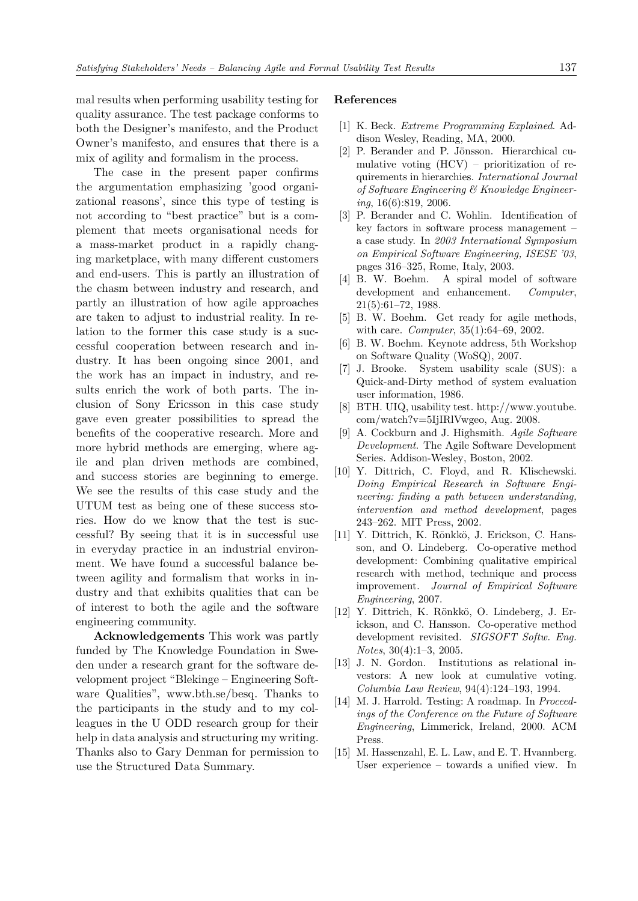mal results when performing usability testing for quality assurance. The test package conforms to both the Designer's manifesto, and the Product Owner's manifesto, and ensures that there is a mix of agility and formalism in the process.

The case in the present paper confirms the argumentation emphasizing 'good organizational reasons', since this type of testing is not according to "best practice" but is a complement that meets organisational needs for a mass-market product in a rapidly changing marketplace, with many different customers and end-users. This is partly an illustration of the chasm between industry and research, and partly an illustration of how agile approaches are taken to adjust to industrial reality. In relation to the former this case study is a successful cooperation between research and industry. It has been ongoing since 2001, and the work has an impact in industry, and results enrich the work of both parts. The inclusion of Sony Ericsson in this case study gave even greater possibilities to spread the benefits of the cooperative research. More and more hybrid methods are emerging, where agile and plan driven methods are combined, and success stories are beginning to emerge. We see the results of this case study and the UTUM test as being one of these success stories. How do we know that the test is successful? By seeing that it is in successful use in everyday practice in an industrial environment. We have found a successful balance between agility and formalism that works in industry and that exhibits qualities that can be of interest to both the agile and the software engineering community.

**Acknowledgements** This work was partly funded by The Knowledge Foundation in Sweden under a research grant for the software development project "Blekinge – Engineering Software Qualities", www.bth.se/besq. Thanks to the participants in the study and to my colleagues in the U ODD research group for their help in data analysis and structuring my writing. Thanks also to Gary Denman for permission to use the Structured Data Summary.

#### **References**

- [1] K. Beck. *Extreme Programming Explained*. Addison Wesley, Reading, MA, 2000.
- [2] P. Berander and P. Jönsson. Hierarchical cumulative voting  $(HCV)$  – prioritization of requirements in hierarchies. *International Journal of Software Engineering & Knowledge Engineering*, 16(6):819, 2006.
- [3] P. Berander and C. Wohlin. Identification of key factors in software process management – a case study. In *2003 International Symposium on Empirical Software Engineering, ISESE '03*, pages 316–325, Rome, Italy, 2003.
- [4] B. W. Boehm. A spiral model of software development and enhancement. *Computer*, 21(5):61–72, 1988.
- [5] B. W. Boehm. Get ready for agile methods, with care. *Computer*, 35(1):64–69, 2002.
- [6] B. W. Boehm. Keynote address, 5th Workshop on Software Quality (WoSQ), 2007.
- [7] J. Brooke. System usability scale (SUS): a Quick-and-Dirty method of system evaluation user information, 1986.
- [8] BTH. UIQ, usability test. http://www.youtube. com/watch?v=5IjIRlVwgeo, Aug. 2008.
- [9] A. Cockburn and J. Highsmith. *Agile Software Development*. The Agile Software Development Series. Addison-Wesley, Boston, 2002.
- [10] Y. Dittrich, C. Floyd, and R. Klischewski. *Doing Empirical Research in Software Engineering: finding a path between understanding, intervention and method development*, pages 243–262. MIT Press, 2002.
- [11] Y. Dittrich, K. Rönkkö, J. Erickson, C. Hansson, and O. Lindeberg. Co-operative method development: Combining qualitative empirical research with method, technique and process improvement. *Journal of Empirical Software Engineering*, 2007.
- [12] Y. Dittrich, K. Rönkkö, O. Lindeberg, J. Erickson, and C. Hansson. Co-operative method development revisited. *SIGSOFT Softw. Eng. Notes*, 30(4):1–3, 2005.
- [13] J. N. Gordon. Institutions as relational investors: A new look at cumulative voting. *Columbia Law Review*, 94(4):124–193, 1994.
- [14] M. J. Harrold. Testing: A roadmap. In *Proceedings of the Conference on the Future of Software Engineering*, Limmerick, Ireland, 2000. ACM Press.
- [15] M. Hassenzahl, E. L. Law, and E. T. Hvannberg. User experience – towards a unified view. In